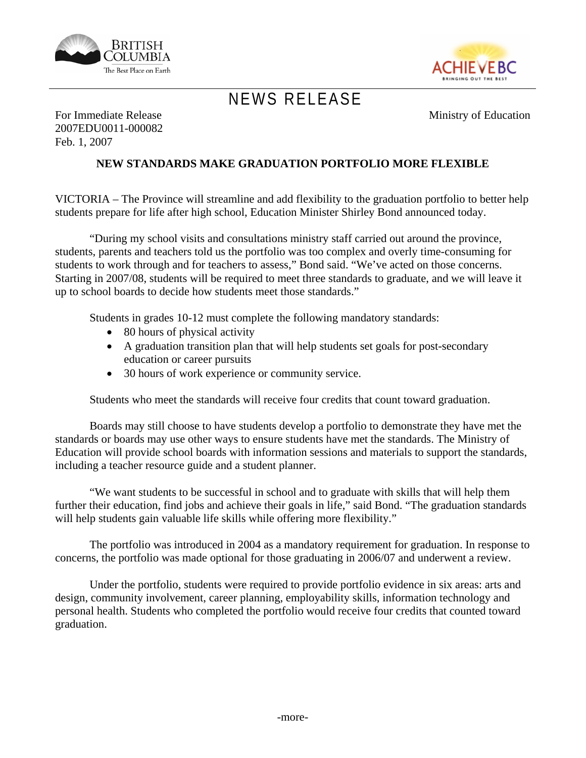



## *NEWS RELEASE*

Ministry of Education

For Immediate Release 2007EDU0011-000082 Feb. 1, 2007

## **NEW STANDARDS MAKE GRADUATION PORTFOLIO MORE FLEXIBLE**

VICTORIA – The Province will streamline and add flexibility to the graduation portfolio to better help students prepare for life after high school, Education Minister Shirley Bond announced today.

"During my school visits and consultations ministry staff carried out around the province, students, parents and teachers told us the portfolio was too complex and overly time-consuming for students to work through and for teachers to assess," Bond said. "We've acted on those concerns. Starting in 2007/08, students will be required to meet three standards to graduate, and we will leave it up to school boards to decide how students meet those standards."

Students in grades 10-12 must complete the following mandatory standards:

- 80 hours of physical activity
- A graduation transition plan that will help students set goals for post-secondary education or career pursuits
- 30 hours of work experience or community service.

Students who meet the standards will receive four credits that count toward graduation.

Boards may still choose to have students develop a portfolio to demonstrate they have met the standards or boards may use other ways to ensure students have met the standards. The Ministry of Education will provide school boards with information sessions and materials to support the standards, including a teacher resource guide and a student planner.

"We want students to be successful in school and to graduate with skills that will help them further their education, find jobs and achieve their goals in life," said Bond. "The graduation standards will help students gain valuable life skills while offering more flexibility."

The portfolio was introduced in 2004 as a mandatory requirement for graduation. In response to concerns, the portfolio was made optional for those graduating in 2006/07 and underwent a review.

Under the portfolio, students were required to provide portfolio evidence in six areas: arts and design, community involvement, career planning, employability skills, information technology and personal health. Students who completed the portfolio would receive four credits that counted toward graduation.